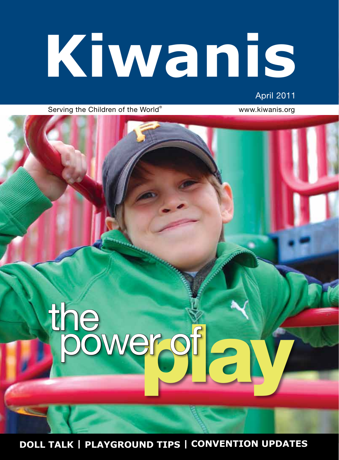# **Kiwanis**

April 2011

Serving the Children of the World®

www.kiwanis.org

# the wer of

**Doll Talk | Playground tips | Convention updates**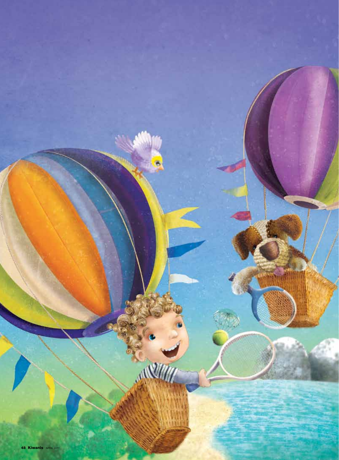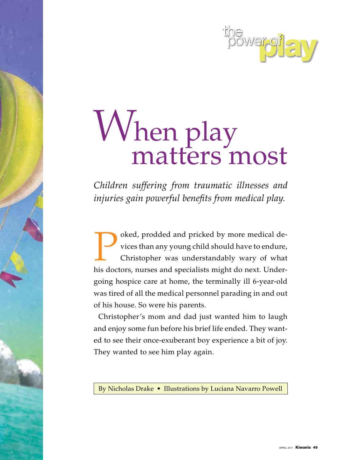

## When play matters most

*Children suffering from traumatic illnesses and injuries gain powerful benefits from medical play.*

Ooked, prodded and pricked by more medical devices than any young child should have to endure,<br>Christopher was understandably wary of what vices than any young child should have to endure, Christopher was understandably wary of what his doctors, nurses and specialists might do next. Undergoing hospice care at home, the terminally ill 6-year-old was tired of all the medical personnel parading in and out of his house. So were his parents.

Christopher's mom and dad just wanted him to laugh and enjoy some fun before his brief life ended. They wanted to see their once-exuberant boy experience a bit of joy. They wanted to see him play again.

By Nicholas Drake • Illustrations by Luciana Navarro Powell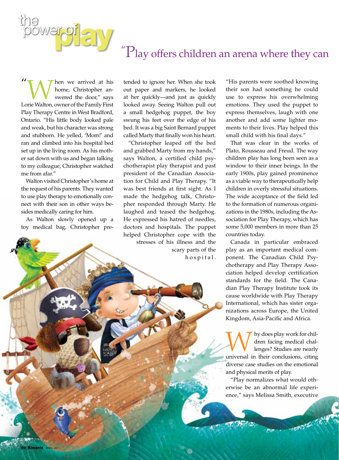### $P$ lay offers children an arena where they can

 $^{\prime}$ When we arrived at his<br>swered the door," says<br>rie Walton owner of the Family First home, Christopher answered the door," says Lorie Walton, owner of the Family First Play Therapy Centre in West Bradford, Ontario. "His little body looked pale and weak, but his character was strong and stubborn. He yelled, 'Mom!' and ran and climbed into his hospital bed set up in the living room. As his mother sat down with us and began talking to my colleague, Christopher watched me from afar."

the power of  $\epsilon$  y

Walton visited Christopher's home at the request of his parents. They wanted to use play therapy to emotionally connect with their son in other ways besides medically caring for him.

As Walton slowly opened up a toy medical bag, Christopher pre-

50 Kiwanisapril <sup>2011</sup>

tended to ignore her. When she took out paper and markers, he looked at her quickly—and just as quickly looked away. Seeing Walton pull out a small hedgehog puppet, the boy swung his feet over the edge of his bed. It was a big Saint Bernard puppet called Marty that finally won his heart.

"Christopher leaped off the bed and grabbed Marty from my hands," says Walton, a certified child psychotherapist play therapist and past president of the Canadian Association for Child and Play Therapy. "It was best friends at first sight. As I made the hedgehog talk, Christopher responded through Marty. He laughed and teased the hedgehog. He expressed his hatred of needles, doctors and hospitals. The puppet helped Christopher cope with the stresses of his illness and the scary parts of the h o s p i t a l.

LAN

"His parents were soothed knowing their son had something he could use to express his overwhelming emotions. They used the puppet to express themselves, laugh with one another and add some lighter moments to their lives. Play helped this small child with his final days."

That was clear in the works of Plato, Rousseau and Freud. The way children play has long been seen as a window to their inner beings. In the early 1900s, play gained prominence as a viable way to therapeutically help children in overly stressful situations. The wide acceptance of the field led to the formation of numerous organizations in the 1980s, including the Association for Play Therapy, which has some 5,000 members in more than 25 countries today.

Canada in particular embraced play as an important medical component. The Canadian Child Psychotherapy and Play Therapy Association helped develop certification standards for the field. The Canadian Play Therapy Institute took its cause worldwide with Play Therapy International, which has sister organizations across Europe, the United Kingdom, Asia-Pacific and Africa.

hy does play work for children facing medical challenges? Studies are nearly universal in their conclusions, citing diverse case studies on the emotional and physical merits of play.

"Play normalizes what would otherwise be an abnormal life experience," says Melissa Smith, executive